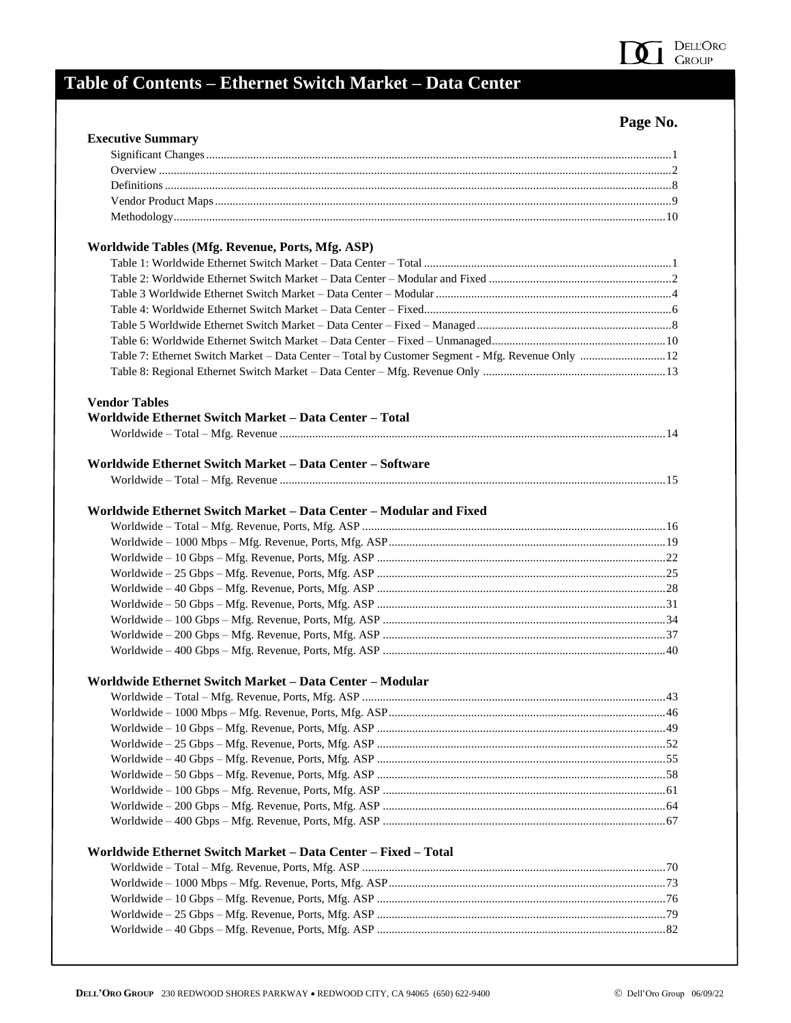

## **Table of Contents – Ethernet Switch Market – Data Center**

## **Page No.**

| <b>Executive Summary</b>                                                                          |  |
|---------------------------------------------------------------------------------------------------|--|
|                                                                                                   |  |
|                                                                                                   |  |
|                                                                                                   |  |
|                                                                                                   |  |
|                                                                                                   |  |
| Worldwide Tables (Mfg. Revenue, Ports, Mfg. ASP)                                                  |  |
|                                                                                                   |  |
|                                                                                                   |  |
|                                                                                                   |  |
|                                                                                                   |  |
|                                                                                                   |  |
|                                                                                                   |  |
| Table 7: Ethernet Switch Market - Data Center - Total by Customer Segment - Mfg. Revenue Only  12 |  |
|                                                                                                   |  |
| <b>Vendor Tables</b>                                                                              |  |
| Worldwide Ethernet Switch Market – Data Center – Total                                            |  |
|                                                                                                   |  |
| Worldwide Ethernet Switch Market - Data Center - Software                                         |  |
|                                                                                                   |  |
| Worldwide Ethernet Switch Market – Data Center – Modular and Fixed                                |  |
|                                                                                                   |  |
|                                                                                                   |  |
|                                                                                                   |  |
|                                                                                                   |  |
|                                                                                                   |  |
|                                                                                                   |  |
|                                                                                                   |  |
|                                                                                                   |  |
|                                                                                                   |  |
| Worldwide Ethernet Switch Market - Data Center - Modular                                          |  |
|                                                                                                   |  |
|                                                                                                   |  |
|                                                                                                   |  |
|                                                                                                   |  |
|                                                                                                   |  |
|                                                                                                   |  |
|                                                                                                   |  |
|                                                                                                   |  |
|                                                                                                   |  |
| Worldwide Ethernet Switch Market – Data Center – Fixed – Total                                    |  |
|                                                                                                   |  |
|                                                                                                   |  |
|                                                                                                   |  |
|                                                                                                   |  |
|                                                                                                   |  |